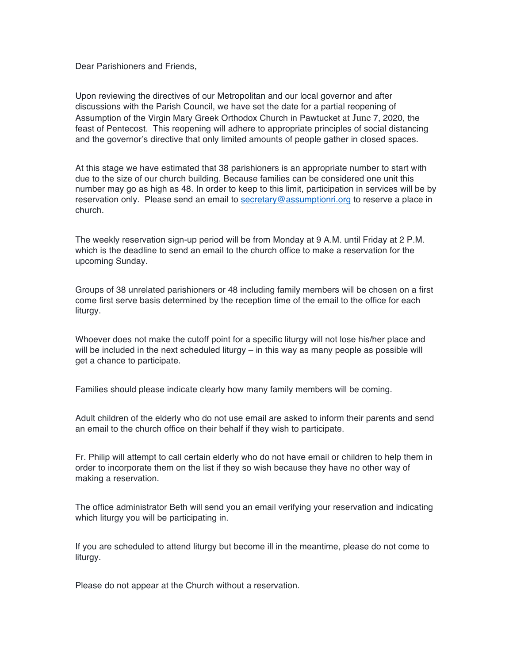Dear Parishioners and Friends,

Upon reviewing the directives of our Metropolitan and our local governor and after discussions with the Parish Council, we have set the date for a partial reopening of Assumption of the Virgin Mary Greek Orthodox Church in Pawtucket at June 7, 2020, the feast of Pentecost. This reopening will adhere to appropriate principles of social distancing and the governor's directive that only limited amounts of people gather in closed spaces.

At this stage we have estimated that 38 parishioners is an appropriate number to start with due to the size of our church building. Because families can be considered one unit this number may go as high as 48. In order to keep to this limit, participation in services will be by reservation only. Please send an email to secretary@assumptionri.org to reserve a place in church.

The weekly reservation sign-up period will be from Monday at 9 A.M. until Friday at 2 P.M. which is the deadline to send an email to the church office to make a reservation for the upcoming Sunday.

Groups of 38 unrelated parishioners or 48 including family members will be chosen on a first come first serve basis determined by the reception time of the email to the office for each liturgy.

Whoever does not make the cutoff point for a specific liturgy will not lose his/her place and will be included in the next scheduled liturgy – in this way as many people as possible will get a chance to participate.

Families should please indicate clearly how many family members will be coming.

Adult children of the elderly who do not use email are asked to inform their parents and send an email to the church office on their behalf if they wish to participate.

Fr. Philip will attempt to call certain elderly who do not have email or children to help them in order to incorporate them on the list if they so wish because they have no other way of making a reservation.

The office administrator Beth will send you an email verifying your reservation and indicating which liturgy you will be participating in.

If you are scheduled to attend liturgy but become ill in the meantime, please do not come to liturgy.

Please do not appear at the Church without a reservation.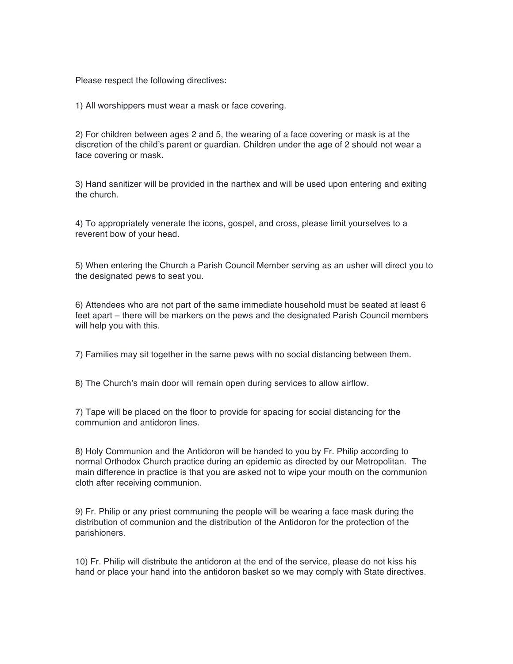Please respect the following directives:

1) All worshippers must wear a mask or face covering.

2) For children between ages 2 and 5, the wearing of a face covering or mask is at the discretion of the child's parent or guardian. Children under the age of 2 should not wear a face covering or mask.

3) Hand sanitizer will be provided in the narthex and will be used upon entering and exiting the church.

4) To appropriately venerate the icons, gospel, and cross, please limit yourselves to a reverent bow of your head.

5) When entering the Church a Parish Council Member serving as an usher will direct you to the designated pews to seat you.

6) Attendees who are not part of the same immediate household must be seated at least 6 feet apart – there will be markers on the pews and the designated Parish Council members will help you with this.

7) Families may sit together in the same pews with no social distancing between them.

8) The Church's main door will remain open during services to allow airflow.

7) Tape will be placed on the floor to provide for spacing for social distancing for the communion and antidoron lines.

8) Holy Communion and the Antidoron will be handed to you by Fr. Philip according to normal Orthodox Church practice during an epidemic as directed by our Metropolitan. The main difference in practice is that you are asked not to wipe your mouth on the communion cloth after receiving communion.

9) Fr. Philip or any priest communing the people will be wearing a face mask during the distribution of communion and the distribution of the Antidoron for the protection of the parishioners.

10) Fr. Philip will distribute the antidoron at the end of the service, please do not kiss his hand or place your hand into the antidoron basket so we may comply with State directives.